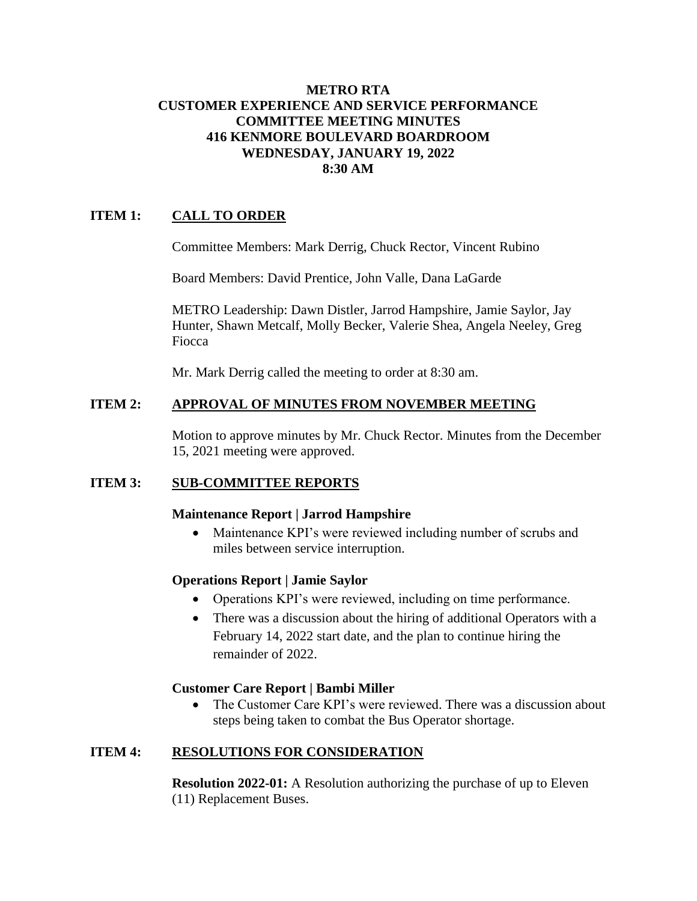#### **METRO RTA CUSTOMER EXPERIENCE AND SERVICE PERFORMANCE COMMITTEE MEETING MINUTES 416 KENMORE BOULEVARD BOARDROOM WEDNESDAY, JANUARY 19, 2022 8:30 AM**

# **ITEM 1: CALL TO ORDER**

Committee Members: Mark Derrig, Chuck Rector, Vincent Rubino

Board Members: David Prentice, John Valle, Dana LaGarde

METRO Leadership: Dawn Distler, Jarrod Hampshire, Jamie Saylor, Jay Hunter, Shawn Metcalf, Molly Becker, Valerie Shea, Angela Neeley, Greg Fiocca

Mr. Mark Derrig called the meeting to order at 8:30 am.

## **ITEM 2: APPROVAL OF MINUTES FROM NOVEMBER MEETING**

Motion to approve minutes by Mr. Chuck Rector. Minutes from the December 15, 2021 meeting were approved.

## **ITEM 3: SUB-COMMITTEE REPORTS**

## **Maintenance Report | Jarrod Hampshire**

• Maintenance KPI's were reviewed including number of scrubs and miles between service interruption.

## **Operations Report | Jamie Saylor**

- Operations KPI's were reviewed, including on time performance.
- There was a discussion about the hiring of additional Operators with a February 14, 2022 start date, and the plan to continue hiring the remainder of 2022.

## **Customer Care Report | Bambi Miller**

• The Customer Care KPI's were reviewed. There was a discussion about steps being taken to combat the Bus Operator shortage.

## **ITEM 4: RESOLUTIONS FOR CONSIDERATION**

**Resolution 2022-01:** A Resolution authorizing the purchase of up to Eleven (11) Replacement Buses.